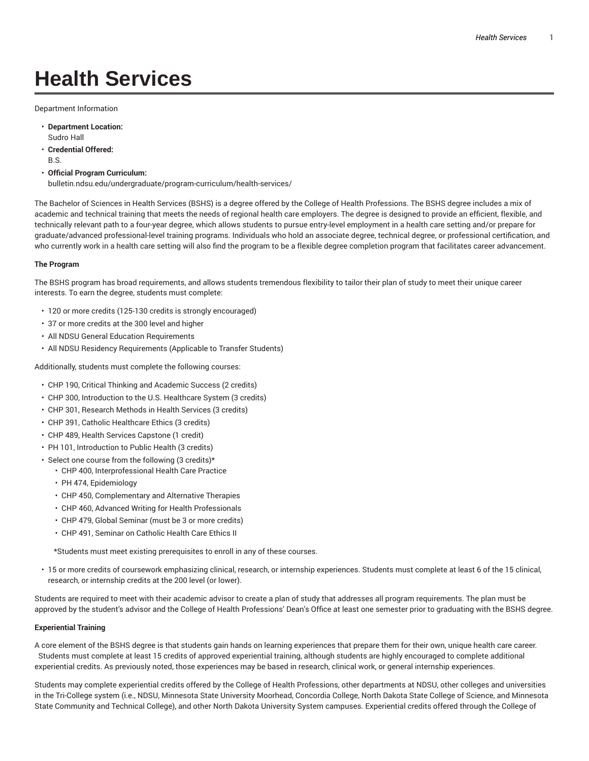# **Health Services**

Department Information

- **Department Location:** Sudro Hall
- **Credential Offered:** B.S.
- **Official Program Curriculum:** bulletin.ndsu.edu/undergraduate/program-curriculum/health-services/

The Bachelor of Sciences in Health Services (BSHS) is a degree offered by the College of Health Professions. The BSHS degree includes a mix of academic and technical training that meets the needs of regional health care employers. The degree is designed to provide an efficient, flexible, and technically relevant path to a four-year degree, which allows students to pursue entry-level employment in a health care setting and/or prepare for graduate/advanced professional-level training programs. Individuals who hold an associate degree, technical degree, or professional certification, and who currently work in a health care setting will also find the program to be a flexible degree completion program that facilitates career advancement.

#### **The Program**

The BSHS program has broad requirements, and allows students tremendous flexibility to tailor their plan of study to meet their unique career interests. To earn the degree, students must complete:

- 120 or more credits (125-130 credits is strongly encouraged)
- 37 or more credits at the 300 level and higher
- All NDSU General Education Requirements
- All NDSU Residency Requirements (Applicable to Transfer Students)

Additionally, students must complete the following courses:

- CHP 190, Critical Thinking and Academic Success (2 credits)
- CHP 300, Introduction to the U.S. Healthcare System (3 credits)
- CHP 301, Research Methods in Health Services (3 credits)
- CHP 391, Catholic Healthcare Ethics (3 credits)
- CHP 489, Health Services Capstone (1 credit)
- PH 101, Introduction to Public Health (3 credits)
- Select one course from the following (3 credits)\*
	- CHP 400, Interprofessional Health Care Practice
	- PH 474, Epidemiology
	- CHP 450, Complementary and Alternative Therapies
	- CHP 460, Advanced Writing for Health Professionals
	- CHP 479, Global Seminar (must be 3 or more credits)
	- CHP 491, Seminar on Catholic Health Care Ethics II

\*Students must meet existing prerequisites to enroll in any of these courses.

• 15 or more credits of coursework emphasizing clinical, research, or internship experiences. Students must complete at least 6 of the 15 clinical, research, or internship credits at the 200 level (or lower).

Students are required to meet with their academic advisor to create a plan of study that addresses all program requirements. The plan must be approved by the student's advisor and the College of Health Professions' Dean's Office at least one semester prior to graduating with the BSHS degree.

### **Experiential Training**

A core element of the BSHS degree is that students gain hands on learning experiences that prepare them for their own, unique health care career. Students must complete at least 15 credits of approved experiential training, although students are highly encouraged to complete additional experiential credits. As previously noted, those experiences may be based in research, clinical work, or general internship experiences.

Students may complete experiential credits offered by the College of Health Professions, other departments at NDSU, other colleges and universities in the Tri-College system (i.e., NDSU, Minnesota State University Moorhead, Concordia College, North Dakota State College of Science, and Minnesota State Community and Technical College), and other North Dakota University System campuses. Experiential credits offered through the College of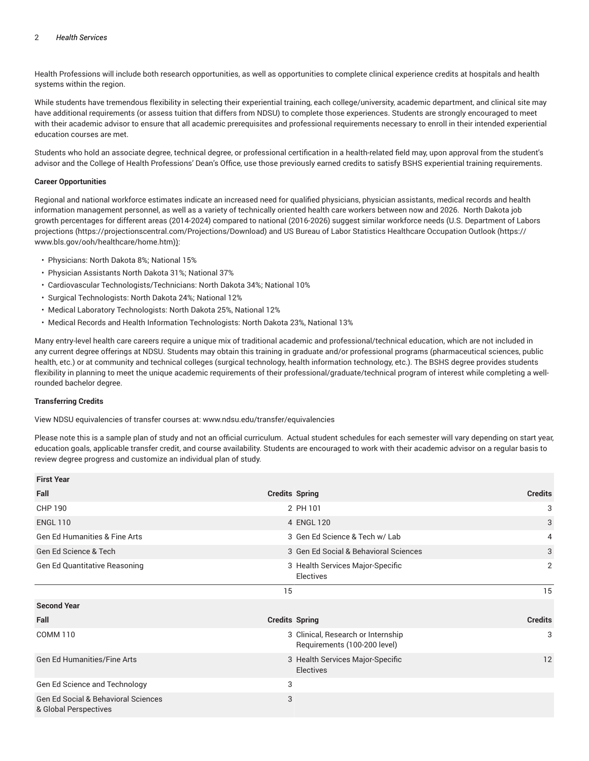#### 2 *Health Services*

Health Professions will include both research opportunities, as well as opportunities to complete clinical experience credits at hospitals and health systems within the region.

While students have tremendous flexibility in selecting their experiential training, each college/university, academic department, and clinical site may have additional requirements (or assess tuition that differs from NDSU) to complete those experiences. Students are strongly encouraged to meet with their academic advisor to ensure that all academic prerequisites and professional requirements necessary to enroll in their intended experiential education courses are met.

Students who hold an associate degree, technical degree, or professional certification in a health-related field may, upon approval from the student's advisor and the College of Health Professions' Dean's Office, use those previously earned credits to satisfy BSHS experiential training requirements.

#### **Career Opportunities**

Regional and national workforce estimates indicate an increased need for qualified physicians, physician assistants, medical records and health information management personnel, as well as a variety of technically oriented health care workers between now and 2026. North Dakota job growth percentages for different areas (2014-2024) compared to national (2016-2026) suggest similar workforce needs (U.S. Department of Labors projections (https://projectionscentral.com/Projections/Download) and US Bureau of Labor Statistics Healthcare Occupation Outlook (https:// www.bls.gov/ooh/healthcare/home.htm)):

- Physicians: North Dakota 8%; National 15%
- Physician Assistants North Dakota 31%; National 37%
- Cardiovascular Technologists/Technicians: North Dakota 34%; National 10%
- Surgical Technologists: North Dakota 24%; National 12%
- Medical Laboratory Technologists: North Dakota 25%, National 12%
- Medical Records and Health Information Technologists: North Dakota 23%, National 13%

Many entry-level health care careers require a unique mix of traditional academic and professional/technical education, which are not included in any current degree offerings at NDSU. Students may obtain this training in graduate and/or professional programs (pharmaceutical sciences, public health, etc.) or at community and technical colleges (surgical technology, health information technology, etc.). The BSHS degree provides students flexibility in planning to meet the unique academic requirements of their professional/graduate/technical program of interest while completing a wellrounded bachelor degree.

## **Transferring Credits**

View NDSU equivalencies of transfer courses at: www.ndsu.edu/transfer/equivalencies

Please note this is a sample plan of study and not an official curriculum. Actual student schedules for each semester will vary depending on start year, education goals, applicable transfer credit, and course availability. Students are encouraged to work with their academic advisor on a regular basis to review degree progress and customize an individual plan of study.

| <b>Credits Spring</b>                                              | <b>Credits</b> |
|--------------------------------------------------------------------|----------------|
| 2 PH 101                                                           | 3              |
| 4 ENGL 120                                                         | 3              |
| 3 Gen Ed Science & Tech w/ Lab                                     | 4              |
| 3 Gen Ed Social & Behavioral Sciences                              | 3              |
| 3 Health Services Major-Specific<br>Electives                      | 2              |
| 15                                                                 | 15             |
|                                                                    |                |
| <b>Credits Spring</b>                                              | <b>Credits</b> |
| 3 Clinical, Research or Internship<br>Requirements (100-200 level) | 3              |
| 3 Health Services Major-Specific<br><b>Electives</b>               | 12             |
| 3                                                                  |                |
| 3                                                                  |                |
|                                                                    |                |